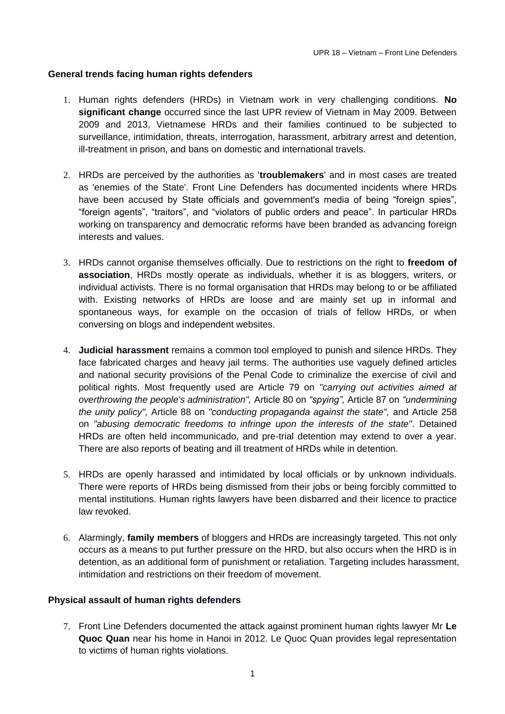## **General trends facing human rights defenders**

- 1. Human rights defenders (HRDs) in Vietnam work in very challenging conditions. **No significant change** occurred since the last UPR review of Vietnam in May 2009. Between 2009 and 2013, Vietnamese HRDs and their families continued to be subjected to surveillance, intimidation, threats, interrogation, harassment, arbitrary arrest and detention, ill-treatment in prison, and bans on domestic and international travels.
- 2. HRDs are perceived by the authorities as '**troublemakers**' and in most cases are treated as 'enemies of the State'. Front Line Defenders has documented incidents where HRDs have been accused by State officials and government's media of being "foreign spies". "foreign agents", "traitors", and "violators of public orders and peace". In particular HRDs working on transparency and democratic reforms have been branded as advancing foreign interests and values.
- 3. HRDs cannot organise themselves officially. Due to restrictions on the right to **freedom of association**, HRDs mostly operate as individuals, whether it is as bloggers, writers, or individual activists. There is no formal organisation that HRDs may belong to or be affiliated with. Existing networks of HRDs are loose and are mainly set up in informal and spontaneous ways, for example on the occasion of trials of fellow HRDs, or when conversing on blogs and independent websites.
- 4. **Judicial harassment** remains a common tool employed to punish and silence HRDs. They face fabricated charges and heavy jail terms. The authorities use vaguely defined articles and national security provisions of the Penal Code to criminalize the exercise of civil and political rights. Most frequently used are Article 79 on *"carrying out activities aimed at overthrowing the people's administration",* Article 80 on *"spying",* Article 87 on *"undermining the unity policy",* Article 88 on *"conducting propaganda against the state",* and Article 258 on *"abusing democratic freedoms to infringe upon the interests of the state"*. Detained HRDs are often held incommunicado, and pre-trial detention may extend to over a year. There are also reports of beating and ill treatment of HRDs while in detention.
- 5. HRDs are openly harassed and intimidated by local officials or by unknown individuals. There were reports of HRDs being dismissed from their jobs or being forcibly committed to mental institutions. Human rights lawyers have been disbarred and their licence to practice law revoked.
- 6. Alarmingly, **family members** of bloggers and HRDs are increasingly targeted. This not only occurs as a means to put further pressure on the HRD, but also occurs when the HRD is in detention, as an additional form of punishment or retaliation. Targeting includes harassment, intimidation and restrictions on their freedom of movement.

## **Physical assault of human rights defenders**

7. Front Line Defenders documented the attack against prominent human rights lawyer Mr **Le Quoc Quan** near his home in Hanoi in 2012. Le Quoc Quan provides legal representation to victims of human rights violations.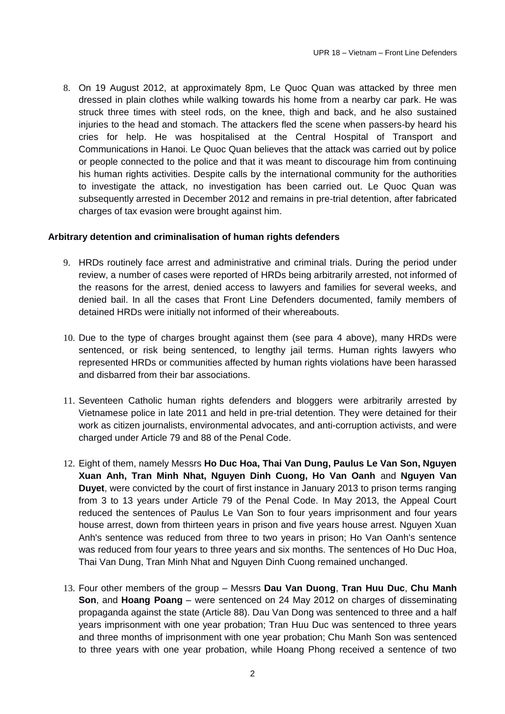8. On 19 August 2012, at approximately 8pm, Le Quoc Quan was attacked by three men dressed in plain clothes while walking towards his home from a nearby car park. He was struck three times with steel rods, on the knee, thigh and back, and he also sustained injuries to the head and stomach. The attackers fled the scene when passers-by heard his cries for help. He was hospitalised at the Central Hospital of Transport and Communications in Hanoi. Le Quoc Quan believes that the attack was carried out by police or people connected to the police and that it was meant to discourage him from continuing his human rights activities. Despite calls by the international community for the authorities to investigate the attack, no investigation has been carried out. Le Quoc Quan was subsequently arrested in December 2012 and remains in pre-trial detention, after fabricated charges of tax evasion were brought against him.

## **Arbitrary detention and criminalisation of human rights defenders**

- 9. HRDs routinely face arrest and administrative and criminal trials. During the period under review, a number of cases were reported of HRDs being arbitrarily arrested, not informed of the reasons for the arrest, denied access to lawyers and families for several weeks, and denied bail. In all the cases that Front Line Defenders documented, family members of detained HRDs were initially not informed of their whereabouts.
- 10. Due to the type of charges brought against them (see para 4 above), many HRDs were sentenced, or risk being sentenced, to lengthy jail terms. Human rights lawyers who represented HRDs or communities affected by human rights violations have been harassed and disbarred from their bar associations.
- 11. Seventeen Catholic human rights defenders and bloggers were arbitrarily arrested by Vietnamese police in late 2011 and held in pre-trial detention. They were detained for their work as citizen journalists, environmental advocates, and anti-corruption activists, and were charged under Article 79 and 88 of the Penal Code.
- 12. Eight of them, namely Messrs **Ho Duc Hoa, Thai Van Dung, Paulus Le Van Son, Nguyen Xuan Anh, Tran Minh Nhat, Nguyen Dinh Cuong, Ho Van Oanh** and **Nguyen Van Duyet**, were convicted by the court of first instance in January 2013 to prison terms ranging from 3 to 13 years under Article 79 of the Penal Code. In May 2013, the Appeal Court reduced the sentences of Paulus Le Van Son to four years imprisonment and four years house arrest, down from thirteen years in prison and five years house arrest. Nguyen Xuan Anh's sentence was reduced from three to two years in prison; Ho Van Oanh's sentence was reduced from four years to three years and six months. The sentences of Ho Duc Hoa, Thai Van Dung, Tran Minh Nhat and Nguyen Dinh Cuong remained unchanged.
- 13. Four other members of the group Messrs **Dau Van Duong**, **Tran Huu Duc**, **Chu Manh Son**, and **Hoang Poang** – were sentenced on 24 May 2012 on charges of disseminating propaganda against the state (Article 88). Dau Van Dong was sentenced to three and a half years imprisonment with one year probation; Tran Huu Duc was sentenced to three years and three months of imprisonment with one year probation; Chu Manh Son was sentenced to three years with one year probation, while Hoang Phong received a sentence of two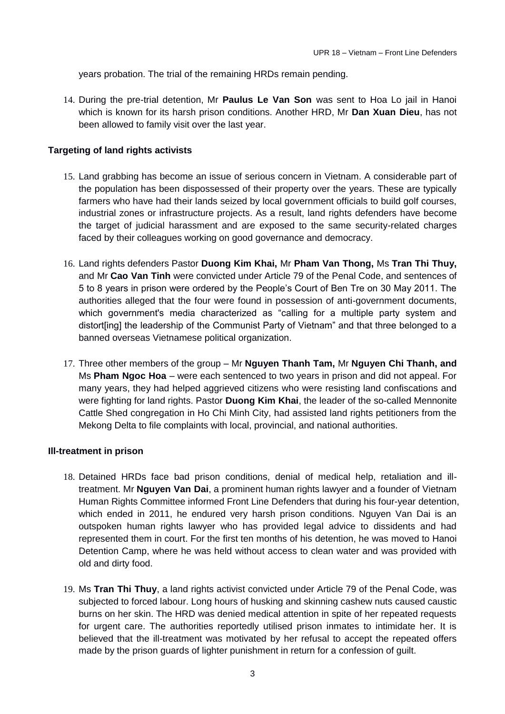years probation. The trial of the remaining HRDs remain pending.

14. During the pre-trial detention, Mr **Paulus Le Van Son** was sent to Hoa Lo jail in Hanoi which is known for its harsh prison conditions. Another HRD, Mr **Dan Xuan Dieu**, has not been allowed to family visit over the last year.

## **Targeting of land rights activists**

- 15. Land grabbing has become an issue of serious concern in Vietnam. A considerable part of the population has been dispossessed of their property over the years. These are typically farmers who have had their lands seized by local government officials to build golf courses, industrial zones or infrastructure projects. As a result, land rights defenders have become the target of judicial harassment and are exposed to the same security-related charges faced by their colleagues working on good governance and democracy.
- 16. Land rights defenders Pastor **Duong Kim Khai,** Mr **Pham Van Thong,** Ms **Tran Thi Thuy,**  and Mr **Cao Van Tinh** were convicted under Article 79 of the Penal Code, and sentences of 5 to 8 years in prison were ordered by the People's Court of Ben Tre on 30 May 2011. The authorities alleged that the four were found in possession of anti-government documents, which government's media characterized as "calling for a multiple party system and distort[ing] the leadership of the Communist Party of Vietnam" and that three belonged to a banned overseas Vietnamese political organization.
- 17. Three other members of the group Mr **Nguyen Thanh Tam,** Mr **Nguyen Chi Thanh, and**  Ms **Pham Ngoc Hoa** – were each sentenced to two years in prison and did not appeal. For many years, they had helped aggrieved citizens who were resisting land confiscations and were fighting for land rights. Pastor **Duong Kim Khai**, the leader of the so-called Mennonite Cattle Shed congregation in Ho Chi Minh City, had assisted land rights petitioners from the Mekong Delta to file complaints with local, provincial, and national authorities.

## **Ill-treatment in prison**

- 18. Detained HRDs face bad prison conditions, denial of medical help, retaliation and illtreatment. Mr **Nguyen Van Dai**, a prominent human rights lawyer and a founder of Vietnam Human Rights Committee informed Front Line Defenders that during his four-year detention, which ended in 2011, he endured very harsh prison conditions. Nguyen Van Dai is an outspoken human rights lawyer who has provided legal advice to dissidents and had represented them in court. For the first ten months of his detention, he was moved to Hanoi Detention Camp, where he was held without access to clean water and was provided with old and dirty food.
- 19. Ms **Tran Thi Thuy**, a land rights activist convicted under Article 79 of the Penal Code, was subjected to forced labour. Long hours of husking and skinning cashew nuts caused caustic burns on her skin. The HRD was denied medical attention in spite of her repeated requests for urgent care. The authorities reportedly utilised prison inmates to intimidate her. It is believed that the ill-treatment was motivated by her refusal to accept the repeated offers made by the prison guards of lighter punishment in return for a confession of guilt.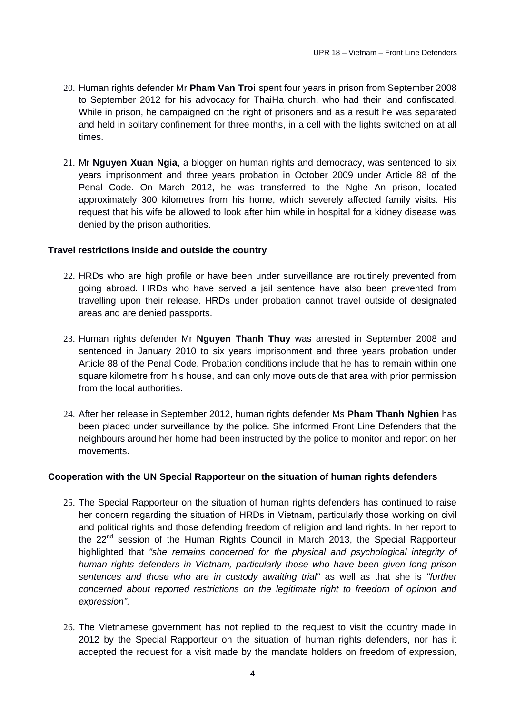- 20. Human rights defender Mr **Pham Van Troi** spent four years in prison from September 2008 to September 2012 for his advocacy for ThaiHa church, who had their land confiscated. While in prison, he campaigned on the right of prisoners and as a result he was separated and held in solitary confinement for three months, in a cell with the lights switched on at all times.
- 21. Mr **Nguyen Xuan Ngia**, a blogger on human rights and democracy, was sentenced to six years imprisonment and three years probation in October 2009 under Article 88 of the Penal Code. On March 2012, he was transferred to the Nghe An prison, located approximately 300 kilometres from his home, which severely affected family visits. His request that his wife be allowed to look after him while in hospital for a kidney disease was denied by the prison authorities.

## **Travel restrictions inside and outside the country**

- 22. HRDs who are high profile or have been under surveillance are routinely prevented from going abroad. HRDs who have served a jail sentence have also been prevented from travelling upon their release. HRDs under probation cannot travel outside of designated areas and are denied passports.
- 23. Human rights defender Mr **Nguyen Thanh Thuy** was arrested in September 2008 and sentenced in January 2010 to six years imprisonment and three years probation under Article 88 of the Penal Code. Probation conditions include that he has to remain within one square kilometre from his house, and can only move outside that area with prior permission from the local authorities.
- 24. After her release in September 2012, human rights defender Ms **Pham Thanh Nghien** has been placed under surveillance by the police. She informed Front Line Defenders that the neighbours around her home had been instructed by the police to monitor and report on her movements.

### **Cooperation with the UN Special Rapporteur on the situation of human rights defenders**

- 25. The Special Rapporteur on the situation of human rights defenders has continued to raise her concern regarding the situation of HRDs in Vietnam, particularly those working on civil and political rights and those defending freedom of religion and land rights. In her report to the 22<sup>nd</sup> session of the Human Rights Council in March 2013, the Special Rapporteur highlighted that *"she remains concerned for the physical and psychological integrity of human rights defenders in Vietnam, particularly those who have been given long prison sentences and those who are in custody awaiting trial"* as well as that she is *"further concerned about reported restrictions on the legitimate right to freedom of opinion and expression".*
- 26. The Vietnamese government has not replied to the request to visit the country made in 2012 by the Special Rapporteur on the situation of human rights defenders, nor has it accepted the request for a visit made by the mandate holders on freedom of expression,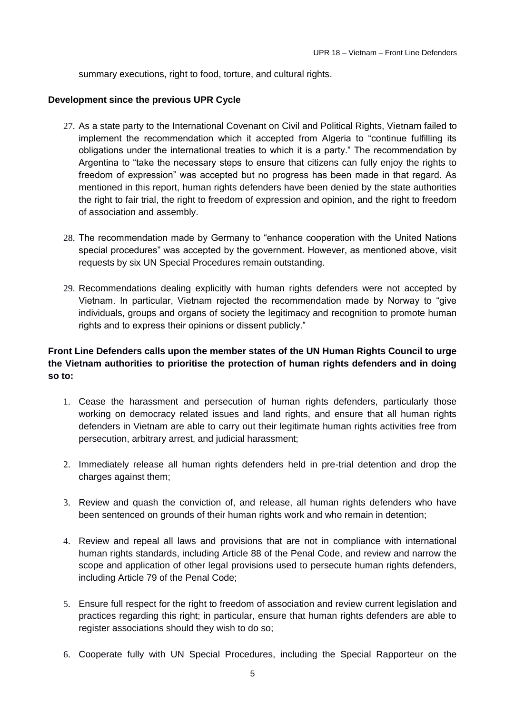summary executions, right to food, torture, and cultural rights.

## **Development since the previous UPR Cycle**

- 27. As a state party to the International Covenant on Civil and Political Rights, Vietnam failed to implement the recommendation which it accepted from Algeria to "continue fulfilling its obligations under the international treaties to which it is a party." The recommendation by Argentina to "take the necessary steps to ensure that citizens can fully enjoy the rights to freedom of expression" was accepted but no progress has been made in that regard. As mentioned in this report, human rights defenders have been denied by the state authorities the right to fair trial, the right to freedom of expression and opinion, and the right to freedom of association and assembly.
- 28. The recommendation made by Germany to "enhance cooperation with the United Nations special procedures" was accepted by the government. However, as mentioned above, visit requests by six UN Special Procedures remain outstanding.
- 29. Recommendations dealing explicitly with human rights defenders were not accepted by Vietnam. In particular, Vietnam rejected the recommendation made by Norway to "give individuals, groups and organs of society the legitimacy and recognition to promote human rights and to express their opinions or dissent publicly."

# **Front Line Defenders calls upon the member states of the UN Human Rights Council to urge the Vietnam authorities to prioritise the protection of human rights defenders and in doing so to:**

- 1. Cease the harassment and persecution of human rights defenders, particularly those working on democracy related issues and land rights, and ensure that all human rights defenders in Vietnam are able to carry out their legitimate human rights activities free from persecution, arbitrary arrest, and judicial harassment;
- 2. Immediately release all human rights defenders held in pre-trial detention and drop the charges against them;
- 3. Review and quash the conviction of, and release, all human rights defenders who have been sentenced on grounds of their human rights work and who remain in detention;
- 4. Review and repeal all laws and provisions that are not in compliance with international human rights standards, including Article 88 of the Penal Code, and review and narrow the scope and application of other legal provisions used to persecute human rights defenders, including Article 79 of the Penal Code;
- 5. Ensure full respect for the right to freedom of association and review current legislation and practices regarding this right; in particular, ensure that human rights defenders are able to register associations should they wish to do so;
- 6. Cooperate fully with UN Special Procedures, including the Special Rapporteur on the